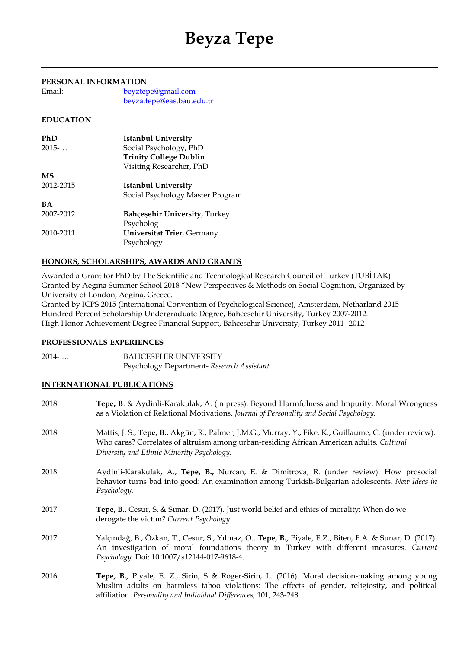# **Beyza Tepe**

## **PERSONAL INFORMATION**

| Email: | beyztepe@gmail.com        |
|--------|---------------------------|
|        | beyza.tepe@eas.bau.edu.tr |

# **EDUCATION**

| PhD       | <b>Istanbul University</b>           |
|-----------|--------------------------------------|
| 2015      | Social Psychology, PhD               |
|           | <b>Trinity College Dublin</b>        |
|           | Visiting Researcher, PhD             |
| MS        |                                      |
| 2012-2015 | Istanbul University                  |
|           | Social Psychology Master Program     |
| <b>BA</b> |                                      |
| 2007-2012 | <b>Bahçeşehir University, Turkey</b> |
|           | Psycholog                            |
| 2010-2011 | <b>Universitat Trier</b> , Germany   |
|           | Psychology                           |

# **HONORS, SCHOLARSHIPS, AWARDS AND GRANTS**

Awarded a Grant for PhD by The Scientific and Technological Research Council of Turkey (TUBİTAK) Granted by Aegina Summer School 2018 "New Perspectives & Methods on Social Cognition, Organized by University of London, Aegina, Greece.

Granted by ICPS 2015 (International Convention of Psychological Science), Amsterdam, Netharland 2015 Hundred Percent Scholarship Undergraduate Degree, Bahcesehir University, Turkey 2007-2012. High Honor Achievement Degree Financial Support, Bahcesehir University, Turkey 2011- 2012

# **PROFESSIONALS EXPERIENCES**

2014- … BAHCESEHIR UNIVERSITY Psychology Department- *Research Assistant*

# **INTERNATIONAL PUBLICATIONS**

| 2018 | Tepe, B. & Aydinli-Karakulak, A. (in press). Beyond Harmfulness and Impurity: Moral Wrongness<br>as a Violation of Relational Motivations. Journal of Personality and Social Psychology.                                                                             |
|------|----------------------------------------------------------------------------------------------------------------------------------------------------------------------------------------------------------------------------------------------------------------------|
| 2018 | Mattis, J. S., Tepe, B., Akgün, R., Palmer, J.M.G., Murray, Y., Fike. K., Guillaume, C. (under review).<br>Who cares? Correlates of altruism among urban-residing African American adults. Cultural<br>Diversity and Ethnic Minority Psychology.                     |
| 2018 | Aydinli-Karakulak, A., Tepe, B., Nurcan, E. & Dimitrova, R. (under review). How prosocial<br>behavior turns bad into good: An examination among Turkish-Bulgarian adolescents. New Ideas in<br>Psychology.                                                           |
| 2017 | Tepe, B., Cesur, S. & Sunar, D. (2017). Just world belief and ethics of morality: When do we<br>derogate the victim? Current Psychology.                                                                                                                             |
| 2017 | Yalçındağ, B., Özkan, T., Cesur, S., Yılmaz, O., Tepe, B., Piyale, E.Z., Biten, F.A. & Sunar, D. (2017).<br>An investigation of moral foundations theory in Turkey with different measures. Current<br>Psychology. Doi: 10.1007/s12144-017-9618-4.                   |
| 2016 | Tepe, B., Piyale, E. Z., Sirin, S & Roger-Sirin, L. (2016). Moral decision-making among young<br>Muslim adults on harmless taboo violations: The effects of gender, religiosity, and political<br>affiliation. Personality and Individual Differences, 101, 243-248. |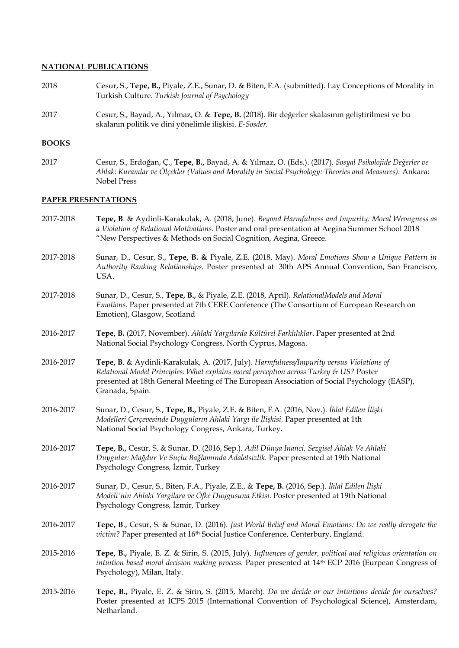#### **NATIONAL PUBLICATIONS**

- 2018 Cesur, S., **Tepe, B.,** Piyale, Z.E., Sunar, D. & Biten, F.A. (submitted). Lay Conceptions of Morality in Turkish Culture. *Turkish Journal of Psychology*
- 2017 Cesur, S., Bayad, A., Yılmaz, O. & **Tepe, B.** (2018). Bir değerler skalasının geliştirilmesi ve bu skalanın politik ve dini yönelimle ilişkisi. *E-Sosder.*

#### **BOOKS**

2017 Cesur, S., Erdoğan, Ç., **Tepe, B.,** Bayad, A. & Yılmaz, O. (Eds.). (2017). *Sosyal Psikolojide Değerler ve Ahlak: Kuramlar ve Ölçekler (Values and Morality in Social Psychology: Theories and Measures).* Ankara: Nobel Press

## **PAPER PRESENTATIONS**

- 2017-2018 **Tepe, B**. & Aydinli-Karakulak, A. (2018, June). *Beyond Harmfulness and Impurity: Moral Wrongness as a Violation of Relational Motivations.* Poster and oral presentation at Aegina Summer School 2018 "New Perspectives & Methods on Social Cognition, Aegina, Greece.
- 2017-2018 Sunar, D., Cesur, S., **Tepe, B. &** Piyale, Z.E. (2018, May). *Moral Emotions Show a Unique Pattern in Authority Ranking Relationships*. Poster presented at 30th APS Annual Convention, San Francisco, USA.
- 2017-2018 Sunar, D., Cesur, S., **Tepe, B.,** & Piyale, Z.E. (2018, April). *RelationalModels and Moral Emotions*. Paper presented at 7th CERE Conference (The Consortium of European Research on Emotion), Glasgow, Scotland
- 2016-2017 **Tepe, B.** (2017, November). *Ahlaki Yargılarda Kültürel Farklılıklar*. Paper presented at 2nd National Social Psychology Congress, North Cyprus, Magosa.
- 2016-2017 **Tepe, B**. & Aydinli-Karakulak, A. (2017, July). *Harmfulness/Impurity versus Violations of Relational Model Principles: What explains moral perception across Turkey & US?* Poster presented at 18th General Meeting of The European Association of Social Psychology (EASP), Granada, Spain.
- 2016-2017 Sunar, D., Cesur, S., **Tepe, B.,** Piyale, Z.E. & Biten, F.A. (2016, Nov.). *İhlal Edilen İlişki Modelleri Çerçevesinde Duyguların Ahlaki Yargı ile İlişkisi.* Paper presented at 1th National Social Psychology Congress, Ankara, Turkey.
- 2016-2017 **Tepe, B.,** Cesur, S. & Sunar, D. (2016, Sep.). *Adil Dünya Inanci, Sezgisel Ahlak Ve Ahlaki Duygular: Mağdur Ve Suçlu Bağlaminda Adaletsizlik.* Paper presented at 19th National Psychology Congress, İzmir, Turkey
- 2016-2017 Sunar, D., Cesur, S., Biten, F.A., Piyale, Z.E., & **Tepe, B.** (2016, Sep.). *İhlal Edilen İlişki Modeli'nin Ahlaki Yargilara ve Öfke Duygusuna Etkisi.* Poster presented at 19th National Psychology Congress, İzmir, Turkey
- 2016-2017 **Tepe, B**., Cesur, S. & Sunar, D. (2016). *Just World Belief and Moral Emotions: Do we really derogate the victim?* Paper presented at 16<sup>th</sup> Social Justice Conference, Centerbury, England.
- 2015-2016 **Tepe, B.,** Piyale, E. Z. & Sirin, S. (2015, July). *Influences of gender, political and religious orientation on intuition based moral decision making process.* Paper presented at 14<sup>th</sup> ECP 2016 (Eurpean Congress of Psychology), Milan, Italy.
- 2015-2016 **Tepe, B.,** Piyale, E. Z. & Sirin, S. (2015, March). *Do we decide or our intuitions decide for ourselves?*  Poster presented at ICPS 2015 (International Convention of Psychological Science), Amsterdam, Netharland.